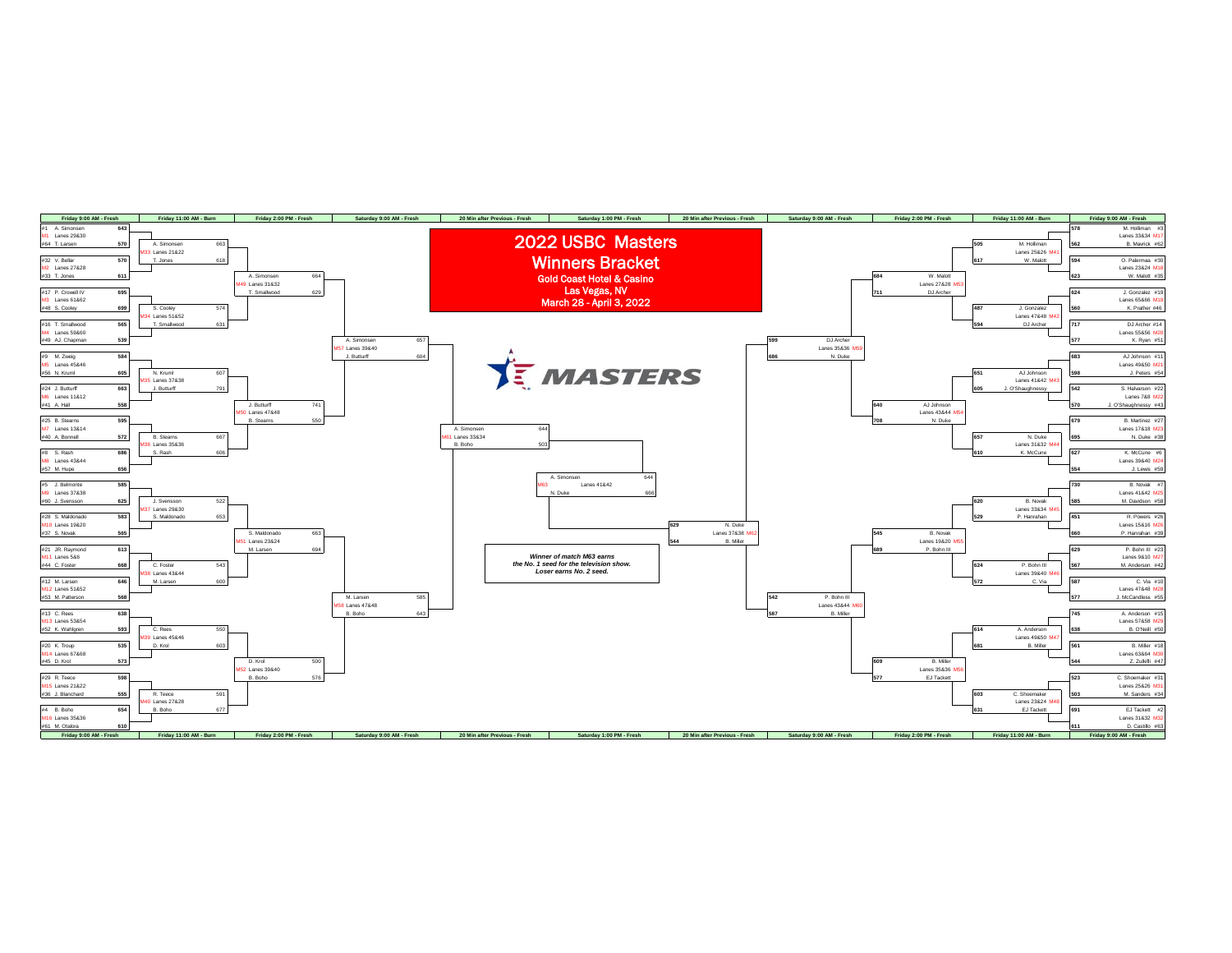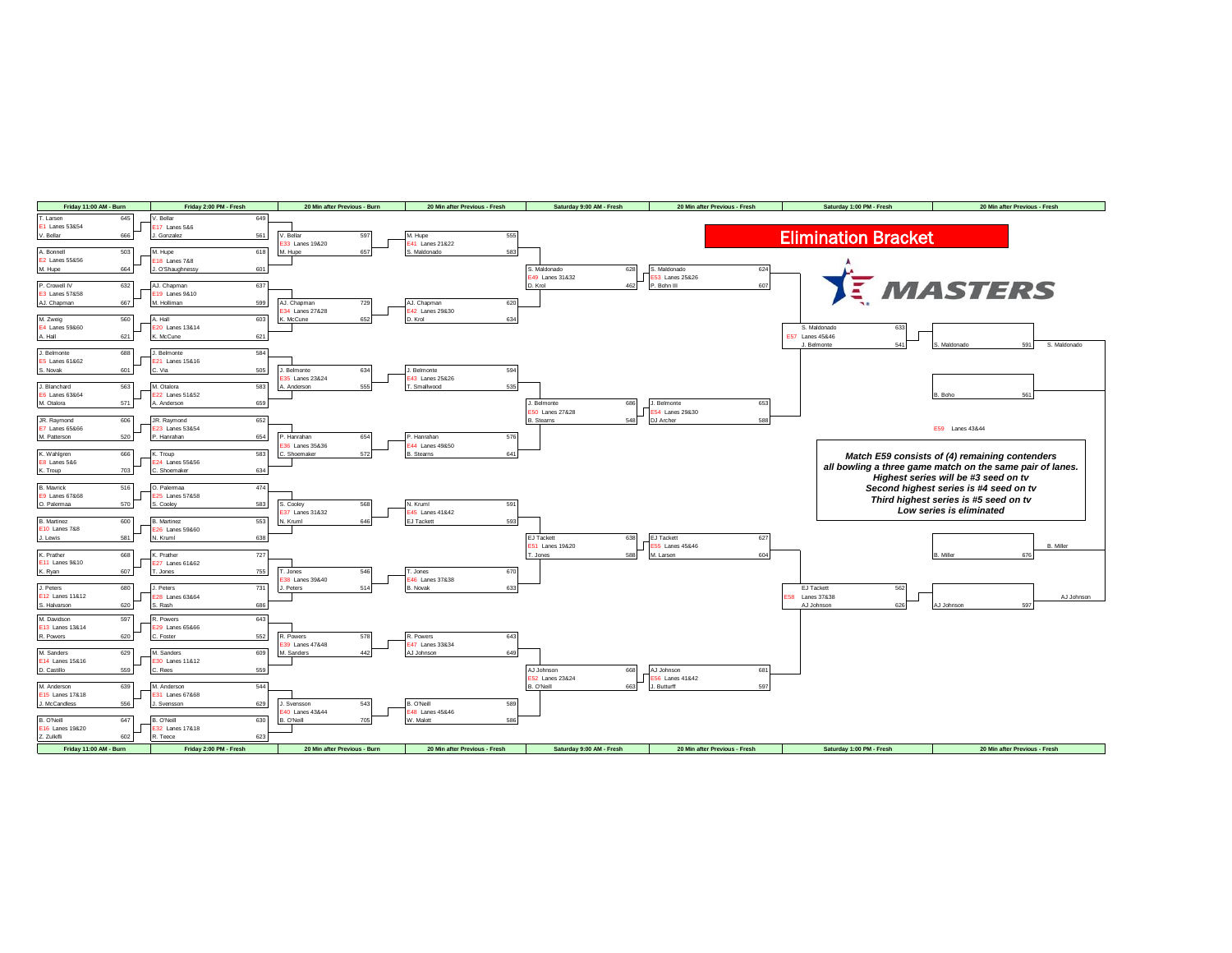